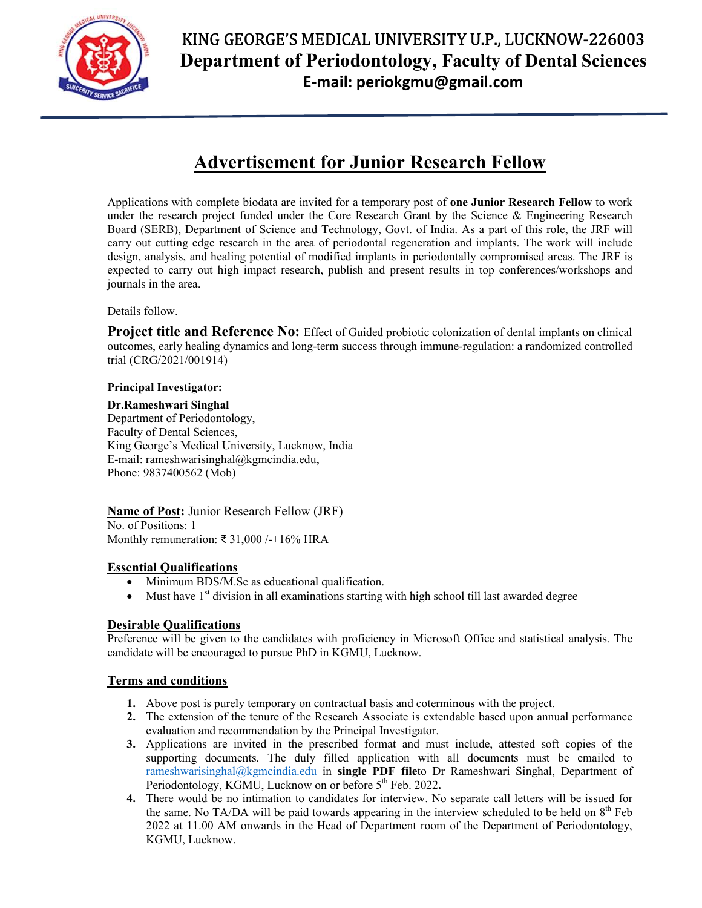

## KING GEORGE'S MEDICAL UNIVERSITY U.P., LUCKNOW-226003 Department of Periodontology, Faculty of Dental Sciences E-mail: periokgmu@gmail.com

# Advertisement for Junior Research Fellow

Applications with complete biodata are invited for a temporary post of one Junior Research Fellow to work under the research project funded under the Core Research Grant by the Science & Engineering Research Board (SERB), Department of Science and Technology, Govt. of India. As a part of this role, the JRF will carry out cutting edge research in the area of periodontal regeneration and implants. The work will include design, analysis, and healing potential of modified implants in periodontally compromised areas. The JRF is expected to carry out high impact research, publish and present results in top conferences/workshops and journals in the area.

Details follow.

**Project title and Reference No:** Effect of Guided probiotic colonization of dental implants on clinical outcomes, early healing dynamics and long-term success through immune-regulation: a randomized controlled trial (CRG/2021/001914)

#### Principal Investigator:

Dr.Rameshwari Singhal Department of Periodontology, Faculty of Dental Sciences, King George's Medical University, Lucknow, India E-mail: rameshwarisinghal@kgmcindia.edu, Phone: 9837400562 (Mob)

Name of Post: Junior Research Fellow (JRF) No. of Positions: 1 Monthly remuneration: ₹ 31,000 / - + 16% HRA

#### Essential Qualifications

- Minimum BDS/M.Sc as educational qualification.
- Must have  $1<sup>st</sup>$  division in all examinations starting with high school till last awarded degree

#### Desirable Qualifications

Preference will be given to the candidates with proficiency in Microsoft Office and statistical analysis. The candidate will be encouraged to pursue PhD in KGMU, Lucknow.

#### Terms and conditions

- 1. Above post is purely temporary on contractual basis and coterminous with the project.
- 2. The extension of the tenure of the Research Associate is extendable based upon annual performance evaluation and recommendation by the Principal Investigator.
- 3. Applications are invited in the prescribed format and must include, attested soft copies of the supporting documents. The duly filled application with all documents must be emailed to rameshwarisinghal@kgmcindia.edu in single PDF fileto Dr Rameshwari Singhal, Department of Periodontology, KGMU, Lucknow on or before  $5<sup>th</sup>$  Feb. 2022.
- 4. There would be no intimation to candidates for interview. No separate call letters will be issued for the same. No TA/DA will be paid towards appearing in the interview scheduled to be held on  $8<sup>th</sup>$  Feb 2022 at 11.00 AM onwards in the Head of Department room of the Department of Periodontology, KGMU, Lucknow.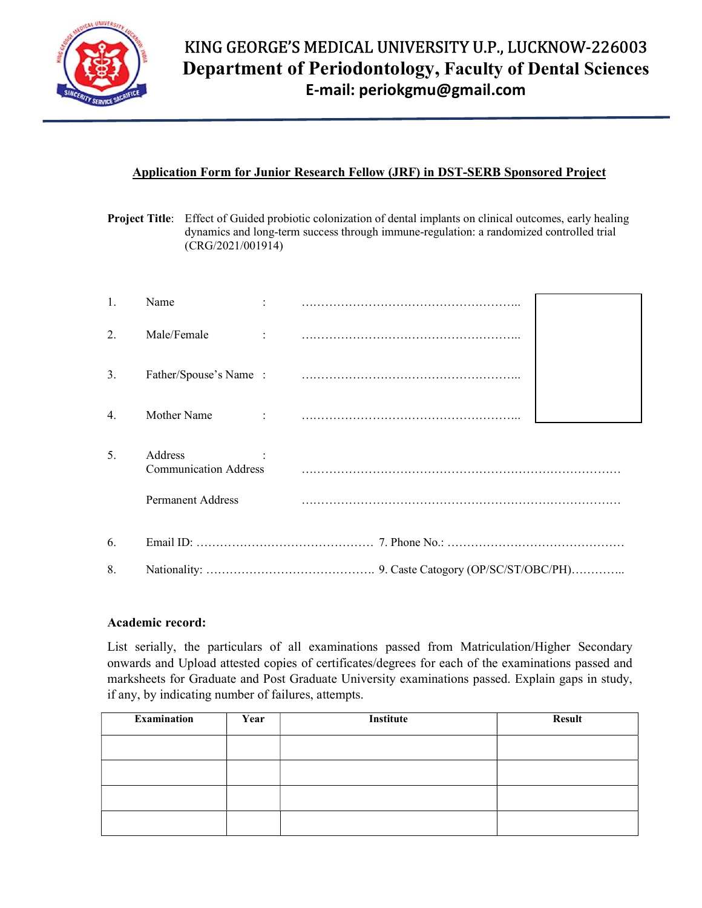

#### Application Form for Junior Research Fellow (JRF) in DST-SERB Sponsored Project

Project Title: Effect of Guided probiotic colonization of dental implants on clinical outcomes, early healing dynamics and long-term success through immune-regulation: a randomized controlled trial (CRG/2021/001914)

| 1.               | Name                                    |  |  |  |  |
|------------------|-----------------------------------------|--|--|--|--|
| 2.               | Male/Female<br>$\sim 100$ M $_{\odot}$  |  |  |  |  |
| 3.               |                                         |  |  |  |  |
| $\overline{4}$ . | Mother Name                             |  |  |  |  |
| 5.               | Address<br><b>Communication Address</b> |  |  |  |  |
|                  | <b>Permanent Address</b>                |  |  |  |  |
| 6.               |                                         |  |  |  |  |
| 8.               |                                         |  |  |  |  |

#### Academic record:

List serially, the particulars of all examinations passed from Matriculation/Higher Secondary onwards and Upload attested copies of certificates/degrees for each of the examinations passed and marksheets for Graduate and Post Graduate University examinations passed. Explain gaps in study, if any, by indicating number of failures, attempts.

| Examination | Year | Institute | <b>Result</b> |
|-------------|------|-----------|---------------|
|             |      |           |               |
|             |      |           |               |
|             |      |           |               |
|             |      |           |               |
|             |      |           |               |